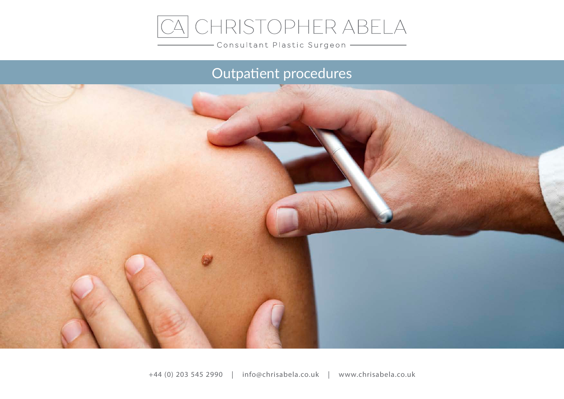

Consultant Plastic Surgeon -

# Outpatient procedures

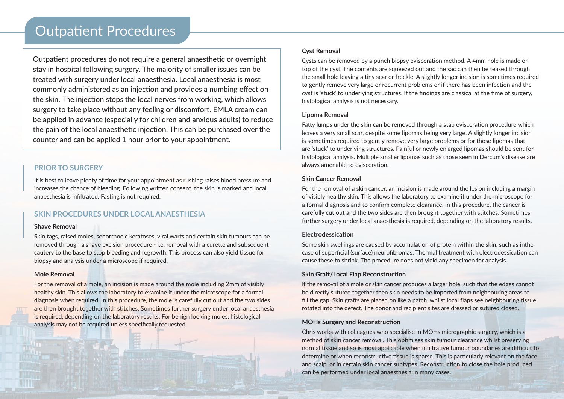Outpatient procedures do not require a general anaesthetic or overnight stay in hospital following surgery. The majority of smaller issues can be treated with surgery under local anaesthesia. Local anaesthesia is most commonly administered as an injection and provides a numbing effect on the skin. The injection stops the local nerves from working, which allows surgery to take place without any feeling or discomfort. EMLA cream can be applied in advance (especially for children and anxious adults) to reduce the pain of the local anaesthetic injection. This can be purchased over the counter and can be applied 1 hour prior to your appointment.

### **PRIOR TO SURGERY**

It is best to leave plenty of time for your appointment as rushing raises blood pressure and increases the chance of bleeding. Following written consent, the skin is marked and local anaesthesia is infiltrated. Fasting is not required.

## **SKIN PROCEDURES UNDER LOCAL ANAESTHESIA**

#### **Shave Removal**

Skin tags, raised moles, seborrhoeic keratoses, viral warts and certain skin tumours can be removed through a shave excision procedure - i.e. removal with a curette and subsequent cautery to the base to stop bleeding and regrowth. This process can also yield tissue for biopsy and analysis under a microscope if required.

#### **Mole Removal**

For the removal of a mole, an incision is made around the mole including 2mm of visibly healthy skin. This allows the laboratory to examine it under the microscope for a formal diagnosis when required. In this procedure, the mole is carefully cut out and the two sides are then brought together with stitches. Sometimes further surgery under local anaesthesia is required, depending on the laboratory results. For benign looking moles, histological analysis may not be required unless specifically requested.

#### **Cyst Removal**

Cysts can be removed by a punch biopsy evisceration method. A 4mm hole is made on top of the cyst. The contents are squeezed out and the sac can then be teased through the small hole leaving a tiny scar or freckle. A slightly longer incision is sometimes required to gently remove very large or recurrent problems or if there has been infection and the cyst is 'stuck' to underlying structures. If the findings are classical at the time of surgery, histological analysis is not necessary.

#### **Lipoma Removal**

Fatty lumps under the skin can be removed through a stab evisceration procedure which leaves a very small scar, despite some lipomas being very large. A slightly longer incision is sometimes required to gently remove very large problems or for those lipomas that are 'stuck' to underlying structures. Painful or newly enlarged lipomas should be sent for histological analysis. Multiple smaller lipomas such as those seen in Dercum's disease are always amenable to evisceration.

#### **Skin Cancer Removal**

For the removal of a skin cancer, an incision is made around the lesion including a margin of visibly healthy skin. This allows the laboratory to examine it under the microscope for a formal diagnosis and to confirm complete clearance. In this procedure, the cancer is carefully cut out and the two sides are then brought together with stitches. Sometimes further surgery under local anaesthesia is required, depending on the laboratory results.

#### **Electrodessication**

Some skin swellings are caused by accumulation of protein within the skin, such as inthe case of superficial (surface) neurofibromas. Thermal treatment with electrodessication can cause these to shrink. The procedure does not yield any specimen for analysis

#### **Skin Graft/Local Flap Reconstruction**

If the removal of a mole or skin cancer produces a larger hole, such that the edges cannot be directly sutured together then skin needs to be imported from neighbouring areas to fill the gap. Skin grafts are placed on like a patch, whilst local flaps see neighbouring tissue rotated into the defect. The donor and recipient sites are dressed or sutured closed.

#### **MOHs Surgery and Reconstruction**

Chris works with colleagues who specialise in MOHs micrographic surgery, which is a method of skin cancer removal. This optimises skin tumour clearance whilst preserving normal tissue and so is most applicable when infiltrative tumour boundaries are difficult to determine or when reconstructive tissue is sparse. This is particularly relevant on the face and scalp, or in certain skin cancer subtypes. Reconstruction to close the hole produced can be performed under local anaesthesia in many cases.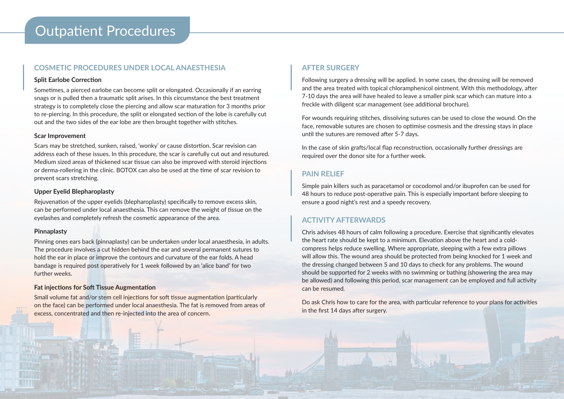## Outpatient Procedures

### **COSMETIC PROCEDURES UNDER LOCAL ANAESTHESIA**

#### **Split Earlobe Correction**

Sometimes, a pierced earlobe can become split or elongated. Occasionally if an earring snags or is pulled then a traumatic split arises. In this circumstance the best treatment strategy is to completely close the piercing and allow scar maturation for 3 months prior to re-piercing. In this procedure, the split or elongated section of the lobe is carefully cut out and the two sides of the ear lobe are then brought together with stitches.

#### **Scar Improvement**

Scars may be stretched, sunken, raised, 'wonky' or cause distortion. Scar revision can address each of these issues. In this procedure, the scar is carefully cut out and resutured. Medium sized areas of thickened scar tissue can also be improved with steroid injections or derma-rollering in the clinic. BOTOX can also be used at the time of scar revision to prevent scars stretching.

#### **Upper Eyelid Blepharoplasty**

Rejuvenation of the upper eyelids (blepharoplasty) specifically to remove excess skin, can be performed under local anaesthesia. This can remove the weight of tissue on the eyelashes and completely refresh the cosmetic appearance of the area.

#### **Pinnaplasty**

Pinning ones ears back (pinnaplasty) can be undertaken under local anaesthesia, in adults. The procedure involves a cut hidden behind the ear and several permanent sutures to hold the ear in place or improve the contours and curvature of the ear folds. A head bandage is required post operatively for 1 week followed by an 'alice band' for two further weeks.

#### **Fat injections for Soft Tissue Augmentation**

Small volume fat and/or stem cell injections for soft tissue augmentation (particularly on the face) can be performed under local anaesthesia. The fat is removed from areas of excess, concentrated and then re-injected into the area of concern.

## **AFTER SURGERY**

Following surgery a dressing will be applied. In some cases, the dressing will be removed and the area treated with topical chloramphenicol ointment. With this methodology, after 7-10 days the area will have healed to leave a smaller pink scar which can mature into a freckle with diligent scar management (see additional brochure).

For wounds requiring stitches, dissolving sutures can be used to close the wound. On the face, removable sutures are chosen to optimise cosmesis and the dressing stays in place until the sutures are removed after 5-7 days.

In the case of skin grafts/local flap reconstruction, occasionally further dressings are required over the donor site for a further week.

## **PAIN RELIEF**

Simple pain killers such as paracetamol or cocodomol and/or ibuprofen can be used for 48 hours to reduce post-operative pain. This is especially important before sleeping to ensure a good night's rest and a speedy recovery.

## **ACTIVITY AFTERWARDS**

Chris advises 48 hours of calm following a procedure. Exercise that significantly elevates the heart rate should be kept to a minimum. Elevation above the heart and a coldcompress helps reduce swelling. Where appropriate, sleeping with a few extra pillows will allow this. The wound area should be protected from being knocked for 1 week and the dressing changed between 5 and 10 days to check for any problems. The wound should be supported for 2 weeks with no swimming or bathing (showering the area may be allowed) and following this period, scar management can be employed and full activity can be resumed.

Do ask Chris how to care for the area, with particular reference to your plans for activities in the first 14 days after surgery.